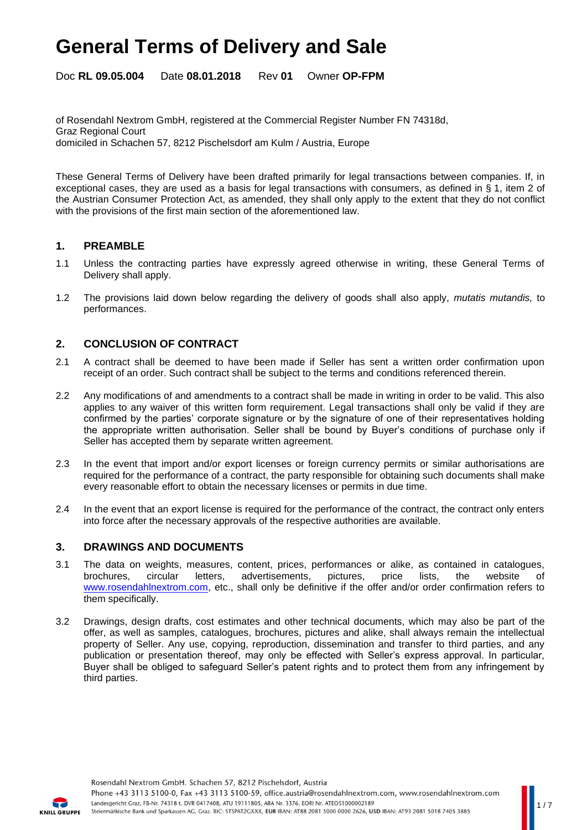Doc **RL 09.05.004** Date **08.01.2018** Rev **01** Owner **OP-FPM**

of Rosendahl Nextrom GmbH, registered at the Commercial Register Number FN 74318d, Graz Regional Court domiciled in Schachen 57, 8212 Pischelsdorf am Kulm / Austria, Europe

These General Terms of Delivery have been drafted primarily for legal transactions between companies. If, in exceptional cases, they are used as a basis for legal transactions with consumers, as defined in § 1, item 2 of the Austrian Consumer Protection Act, as amended, they shall only apply to the extent that they do not conflict with the provisions of the first main section of the aforementioned law.

### **1. PREAMBLE**

- 1.1 Unless the contracting parties have expressly agreed otherwise in writing, these General Terms of Delivery shall apply.
- 1.2 The provisions laid down below regarding the delivery of goods shall also apply, *mutatis mutandis,* to performances.

### **2. CONCLUSION OF CONTRACT**

- 2.1 A contract shall be deemed to have been made if Seller has sent a written order confirmation upon receipt of an order. Such contract shall be subject to the terms and conditions referenced therein.
- 2.2 Any modifications of and amendments to a contract shall be made in writing in order to be valid. This also applies to any waiver of this written form requirement. Legal transactions shall only be valid if they are confirmed by the parties' corporate signature or by the signature of one of their representatives holding the appropriate written authorisation. Seller shall be bound by Buyer's conditions of purchase only if Seller has accepted them by separate written agreement.
- 2.3 In the event that import and/or export licenses or foreign currency permits or similar authorisations are required for the performance of a contract, the party responsible for obtaining such documents shall make every reasonable effort to obtain the necessary licenses or permits in due time.
- 2.4 In the event that an export license is required for the performance of the contract, the contract only enters into force after the necessary approvals of the respective authorities are available.

### **3. DRAWINGS AND DOCUMENTS**

- 3.1 The data on weights, measures, content, prices, performances or alike, as contained in catalogues, brochures, circular letters, advertisements, pictures, price lists, the website of [www.rosendahlnextrom.com,](http://www.rosendahlnextrom.com/) etc., shall only be definitive if the offer and/or order confirmation refers to them specifically.
- 3.2 Drawings, design drafts, cost estimates and other technical documents, which may also be part of the offer, as well as samples, catalogues, brochures, pictures and alike, shall always remain the intellectual property of Seller. Any use, copying, reproduction, dissemination and transfer to third parties, and any publication or presentation thereof, may only be effected with Seller's express approval. In particular, Buyer shall be obliged to safeguard Seller's patent rights and to protect them from any infringement by third parties.

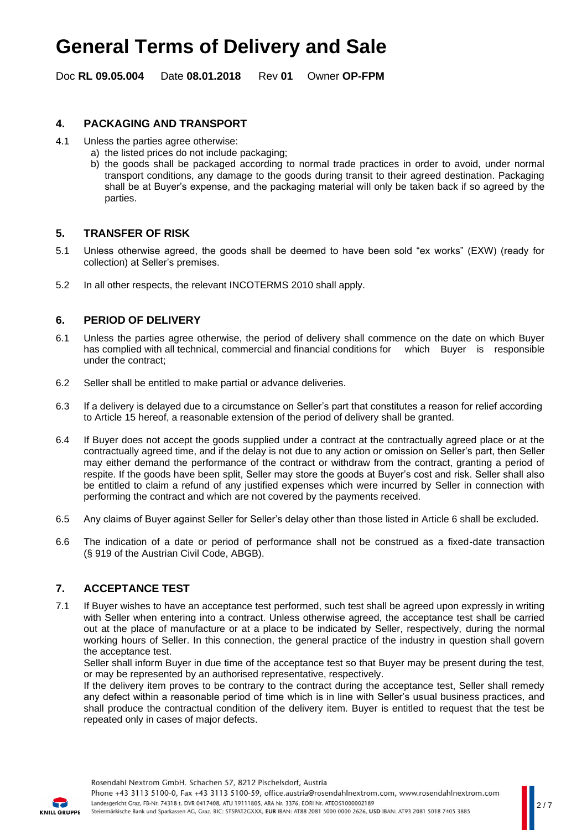Doc **RL 09.05.004** Date **08.01.2018** Rev **01** Owner **OP-FPM**

## **4. PACKAGING AND TRANSPORT**

- 4.1 Unless the parties agree otherwise:
	- a) the listed prices do not include packaging;
	- b) the goods shall be packaged according to normal trade practices in order to avoid, under normal transport conditions, any damage to the goods during transit to their agreed destination. Packaging shall be at Buyer's expense, and the packaging material will only be taken back if so agreed by the parties.

### **5. TRANSFER OF RISK**

- 5.1 Unless otherwise agreed, the goods shall be deemed to have been sold "ex works" (EXW) (ready for collection) at Seller's premises.
- 5.2 In all other respects, the relevant INCOTERMS 2010 shall apply.

### **6. PERIOD OF DELIVERY**

- 6.1 Unless the parties agree otherwise, the period of delivery shall commence on the date on which Buyer has complied with all technical, commercial and financial conditions for which Buyer is responsible under the contract;
- 6.2 Seller shall be entitled to make partial or advance deliveries.
- 6.3 If a delivery is delayed due to a circumstance on Seller's part that constitutes a reason for relief according to Article 15 hereof, a reasonable extension of the period of delivery shall be granted.
- 6.4 If Buyer does not accept the goods supplied under a contract at the contractually agreed place or at the contractually agreed time, and if the delay is not due to any action or omission on Seller's part, then Seller may either demand the performance of the contract or withdraw from the contract, granting a period of respite. If the goods have been split, Seller may store the goods at Buyer's cost and risk. Seller shall also be entitled to claim a refund of any justified expenses which were incurred by Seller in connection with performing the contract and which are not covered by the payments received.
- 6.5 Any claims of Buyer against Seller for Seller's delay other than those listed in Article 6 shall be excluded.
- 6.6 The indication of a date or period of performance shall not be construed as a fixed-date transaction (§ 919 of the Austrian Civil Code, ABGB).

### **7. ACCEPTANCE TEST**

7.1 If Buyer wishes to have an acceptance test performed, such test shall be agreed upon expressly in writing with Seller when entering into a contract. Unless otherwise agreed, the acceptance test shall be carried out at the place of manufacture or at a place to be indicated by Seller, respectively, during the normal working hours of Seller. In this connection, the general practice of the industry in question shall govern the acceptance test.

Seller shall inform Buyer in due time of the acceptance test so that Buyer may be present during the test, or may be represented by an authorised representative, respectively.

If the delivery item proves to be contrary to the contract during the acceptance test, Seller shall remedy any defect within a reasonable period of time which is in line with Seller's usual business practices, and shall produce the contractual condition of the delivery item. Buyer is entitled to request that the test be repeated only in cases of major defects.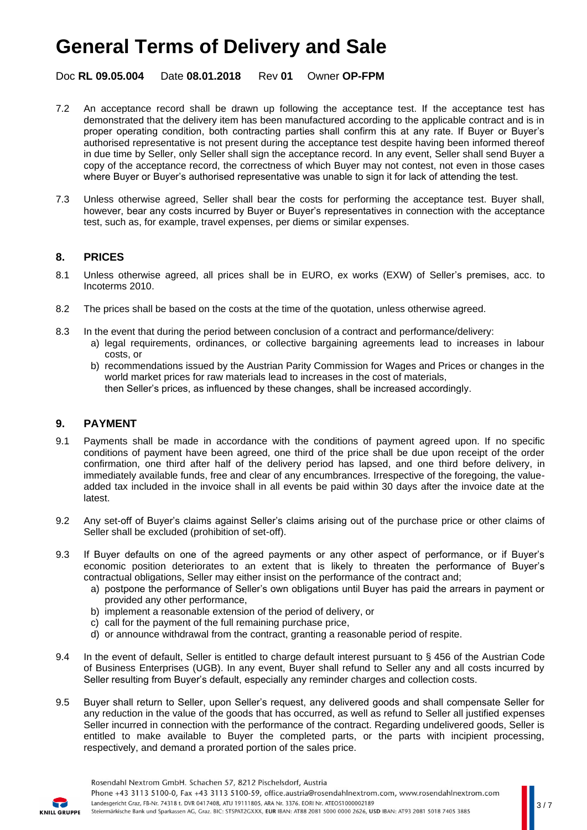Doc **RL 09.05.004** Date **08.01.2018** Rev **01** Owner **OP-FPM**

- 7.2 An acceptance record shall be drawn up following the acceptance test. If the acceptance test has demonstrated that the delivery item has been manufactured according to the applicable contract and is in proper operating condition, both contracting parties shall confirm this at any rate. If Buyer or Buyer's authorised representative is not present during the acceptance test despite having been informed thereof in due time by Seller, only Seller shall sign the acceptance record. In any event, Seller shall send Buyer a copy of the acceptance record, the correctness of which Buyer may not contest, not even in those cases where Buyer or Buyer's authorised representative was unable to sign it for lack of attending the test.
- 7.3 Unless otherwise agreed, Seller shall bear the costs for performing the acceptance test. Buyer shall, however, bear any costs incurred by Buyer or Buyer's representatives in connection with the acceptance test, such as, for example, travel expenses, per diems or similar expenses.

# **8. PRICES**

- 8.1 Unless otherwise agreed, all prices shall be in EURO, ex works (EXW) of Seller's premises, acc. to Incoterms 2010.
- 8.2 The prices shall be based on the costs at the time of the quotation, unless otherwise agreed.
- 8.3 In the event that during the period between conclusion of a contract and performance/delivery:
	- a) legal requirements, ordinances, or collective bargaining agreements lead to increases in labour costs, or
	- b) recommendations issued by the Austrian Parity Commission for Wages and Prices or changes in the world market prices for raw materials lead to increases in the cost of materials, then Seller's prices, as influenced by these changes, shall be increased accordingly.

### **9. PAYMENT**

- 9.1 Payments shall be made in accordance with the conditions of payment agreed upon. If no specific conditions of payment have been agreed, one third of the price shall be due upon receipt of the order confirmation, one third after half of the delivery period has lapsed, and one third before delivery, in immediately available funds, free and clear of any encumbrances. Irrespective of the foregoing, the valueadded tax included in the invoice shall in all events be paid within 30 days after the invoice date at the latest.
- 9.2 Any set-off of Buyer's claims against Seller's claims arising out of the purchase price or other claims of Seller shall be excluded (prohibition of set-off).
- 9.3 If Buyer defaults on one of the agreed payments or any other aspect of performance, or if Buyer's economic position deteriorates to an extent that is likely to threaten the performance of Buyer's contractual obligations, Seller may either insist on the performance of the contract and;
	- a) postpone the performance of Seller's own obligations until Buyer has paid the arrears in payment or provided any other performance,
	- b) implement a reasonable extension of the period of delivery, or
	- c) call for the payment of the full remaining purchase price,
	- d) or announce withdrawal from the contract, granting a reasonable period of respite.
- 9.4 In the event of default, Seller is entitled to charge default interest pursuant to § 456 of the Austrian Code of Business Enterprises (UGB). In any event, Buyer shall refund to Seller any and all costs incurred by Seller resulting from Buyer's default, especially any reminder charges and collection costs.
- 9.5 Buyer shall return to Seller, upon Seller's request, any delivered goods and shall compensate Seller for any reduction in the value of the goods that has occurred, as well as refund to Seller all justified expenses Seller incurred in connection with the performance of the contract. Regarding undelivered goods, Seller is entitled to make available to Buyer the completed parts, or the parts with incipient processing, respectively, and demand a prorated portion of the sales price.

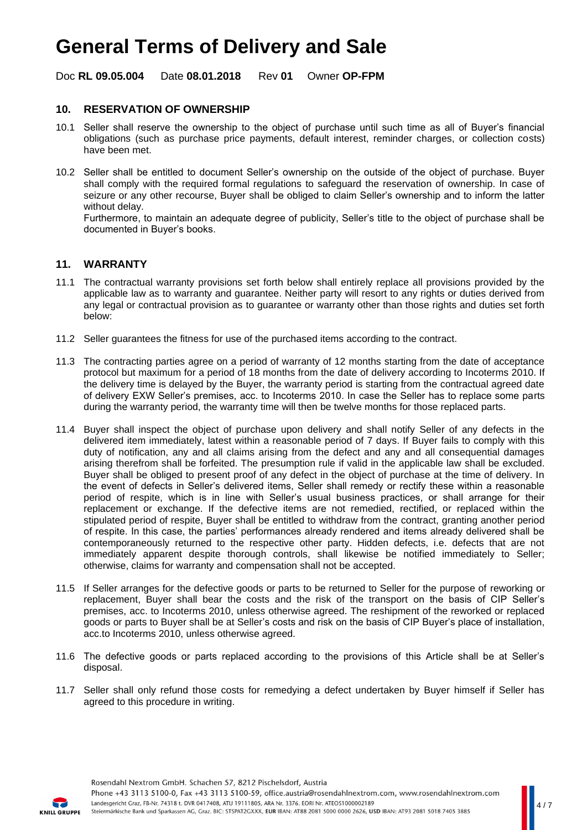Doc **RL 09.05.004** Date **08.01.2018** Rev **01** Owner **OP-FPM**

## **10. RESERVATION OF OWNERSHIP**

- 10.1 Seller shall reserve the ownership to the object of purchase until such time as all of Buyer's financial obligations (such as purchase price payments, default interest, reminder charges, or collection costs) have been met.
- 10.2 Seller shall be entitled to document Seller's ownership on the outside of the object of purchase. Buyer shall comply with the required formal regulations to safeguard the reservation of ownership. In case of seizure or any other recourse, Buyer shall be obliged to claim Seller's ownership and to inform the latter without delay.

Furthermore, to maintain an adequate degree of publicity, Seller's title to the object of purchase shall be documented in Buyer's books.

### **11. WARRANTY**

- 11.1 The contractual warranty provisions set forth below shall entirely replace all provisions provided by the applicable law as to warranty and guarantee. Neither party will resort to any rights or duties derived from any legal or contractual provision as to guarantee or warranty other than those rights and duties set forth below:
- 11.2 Seller guarantees the fitness for use of the purchased items according to the contract.
- 11.3 The contracting parties agree on a period of warranty of 12 months starting from the date of acceptance protocol but maximum for a period of 18 months from the date of delivery according to Incoterms 2010. If the delivery time is delayed by the Buyer, the warranty period is starting from the contractual agreed date of delivery EXW Seller's premises, acc. to Incoterms 2010. In case the Seller has to replace some parts during the warranty period, the warranty time will then be twelve months for those replaced parts.
- 11.4 Buyer shall inspect the object of purchase upon delivery and shall notify Seller of any defects in the delivered item immediately, latest within a reasonable period of 7 days. If Buyer fails to comply with this duty of notification, any and all claims arising from the defect and any and all consequential damages arising therefrom shall be forfeited. The presumption rule if valid in the applicable law shall be excluded. Buyer shall be obliged to present proof of any defect in the object of purchase at the time of delivery. In the event of defects in Seller's delivered items, Seller shall remedy or rectify these within a reasonable period of respite, which is in line with Seller's usual business practices, or shall arrange for their replacement or exchange. If the defective items are not remedied, rectified, or replaced within the stipulated period of respite, Buyer shall be entitled to withdraw from the contract, granting another period of respite. In this case, the parties' performances already rendered and items already delivered shall be contemporaneously returned to the respective other party. Hidden defects, i.e. defects that are not immediately apparent despite thorough controls, shall likewise be notified immediately to Seller; otherwise, claims for warranty and compensation shall not be accepted.
- 11.5 If Seller arranges for the defective goods or parts to be returned to Seller for the purpose of reworking or replacement, Buyer shall bear the costs and the risk of the transport on the basis of CIP Seller's premises, acc. to Incoterms 2010, unless otherwise agreed. The reshipment of the reworked or replaced goods or parts to Buyer shall be at Seller's costs and risk on the basis of CIP Buyer's place of installation, acc.to Incoterms 2010, unless otherwise agreed.
- 11.6 The defective goods or parts replaced according to the provisions of this Article shall be at Seller's disposal.
- 11.7 Seller shall only refund those costs for remedying a defect undertaken by Buyer himself if Seller has agreed to this procedure in writing.

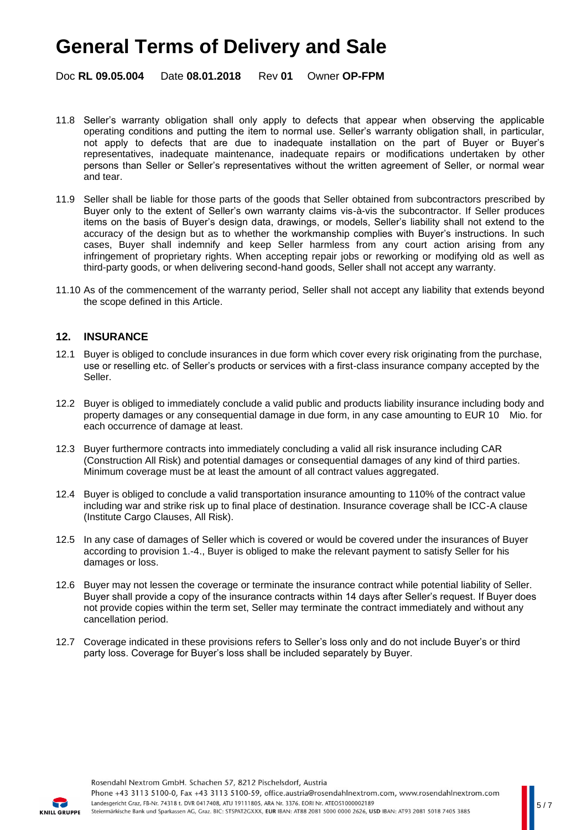Doc **RL 09.05.004** Date **08.01.2018** Rev **01** Owner **OP-FPM**

- 11.8 Seller's warranty obligation shall only apply to defects that appear when observing the applicable operating conditions and putting the item to normal use. Seller's warranty obligation shall, in particular, not apply to defects that are due to inadequate installation on the part of Buyer or Buyer's representatives, inadequate maintenance, inadequate repairs or modifications undertaken by other persons than Seller or Seller's representatives without the written agreement of Seller, or normal wear and tear.
- 11.9 Seller shall be liable for those parts of the goods that Seller obtained from subcontractors prescribed by Buyer only to the extent of Seller's own warranty claims vis-à-vis the subcontractor. If Seller produces items on the basis of Buyer's design data, drawings, or models, Seller's liability shall not extend to the accuracy of the design but as to whether the workmanship complies with Buyer's instructions. In such cases, Buyer shall indemnify and keep Seller harmless from any court action arising from any infringement of proprietary rights. When accepting repair jobs or reworking or modifying old as well as third-party goods, or when delivering second-hand goods, Seller shall not accept any warranty.
- 11.10 As of the commencement of the warranty period, Seller shall not accept any liability that extends beyond the scope defined in this Article.

### **12. INSURANCE**

- 12.1 Buyer is obliged to conclude insurances in due form which cover every risk originating from the purchase, use or reselling etc. of Seller's products or services with a first-class insurance company accepted by the Seller.
- 12.2 Buyer is obliged to immediately conclude a valid public and products liability insurance including body and property damages or any consequential damage in due form, in any case amounting to EUR 10 Mio. for each occurrence of damage at least.
- 12.3 Buyer furthermore contracts into immediately concluding a valid all risk insurance including CAR (Construction All Risk) and potential damages or consequential damages of any kind of third parties. Minimum coverage must be at least the amount of all contract values aggregated.
- 12.4 Buyer is obliged to conclude a valid transportation insurance amounting to 110% of the contract value including war and strike risk up to final place of destination. Insurance coverage shall be ICC-A clause (Institute Cargo Clauses, All Risk).
- 12.5 In any case of damages of Seller which is covered or would be covered under the insurances of Buyer according to provision 1.-4., Buyer is obliged to make the relevant payment to satisfy Seller for his damages or loss.
- 12.6 Buyer may not lessen the coverage or terminate the insurance contract while potential liability of Seller. Buyer shall provide a copy of the insurance contracts within 14 days after Seller's request. If Buyer does not provide copies within the term set, Seller may terminate the contract immediately and without any cancellation period.
- 12.7 Coverage indicated in these provisions refers to Seller's loss only and do not include Buyer's or third party loss. Coverage for Buyer's loss shall be included separately by Buyer.

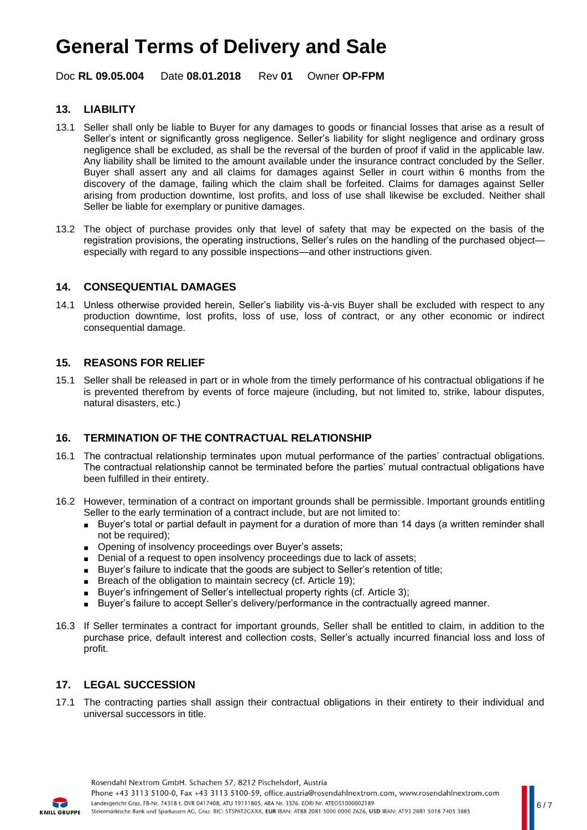Doc **RL 09.05.004** Date **08.01.2018** Rev **01** Owner **OP-FPM**

# **13. LIABILITY**

- 13.1 Seller shall only be liable to Buyer for any damages to goods or financial losses that arise as a result of Seller's intent or significantly gross negligence. Seller's liability for slight negligence and ordinary gross negligence shall be excluded, as shall be the reversal of the burden of proof if valid in the applicable law. Any liability shall be limited to the amount available under the insurance contract concluded by the Seller. Buyer shall assert any and all claims for damages against Seller in court within 6 months from the discovery of the damage, failing which the claim shall be forfeited. Claims for damages against Seller arising from production downtime, lost profits, and loss of use shall likewise be excluded. Neither shall Seller be liable for exemplary or punitive damages.
- 13.2 The object of purchase provides only that level of safety that may be expected on the basis of the registration provisions, the operating instructions, Seller's rules on the handling of the purchased object especially with regard to any possible inspections—and other instructions given.

### **14. CONSEQUENTIAL DAMAGES**

14.1 Unless otherwise provided herein, Seller's liability vis-à-vis Buyer shall be excluded with respect to any production downtime, lost profits, loss of use, loss of contract, or any other economic or indirect consequential damage.

### **15. REASONS FOR RELIEF**

15.1 Seller shall be released in part or in whole from the timely performance of his contractual obligations if he is prevented therefrom by events of force majeure (including, but not limited to, strike, labour disputes, natural disasters, etc.)

## **16. TERMINATION OF THE CONTRACTUAL RELATIONSHIP**

- 16.1 The contractual relationship terminates upon mutual performance of the parties' contractual obligations. The contractual relationship cannot be terminated before the parties' mutual contractual obligations have been fulfilled in their entirety.
- 16.2 However, termination of a contract on important grounds shall be permissible. Important grounds entitling Seller to the early termination of a contract include, but are not limited to:
	- Buyer's total or partial default in payment for a duration of more than 14 days (a written reminder shall not be required);
	- Opening of insolvency proceedings over Buyer's assets;
	- Denial of a request to open insolvency proceedings due to lack of assets;
	- Buyer's failure to indicate that the goods are subject to Seller's retention of title;
	- Breach of the obligation to maintain secrecy (cf. Article 19):
	- Buyer's infringement of Seller's intellectual property rights (cf. Article 3);
	- Buyer's failure to accept Seller's delivery/performance in the contractually agreed manner.
- 16.3 If Seller terminates a contract for important grounds, Seller shall be entitled to claim, in addition to the purchase price, default interest and collection costs, Seller's actually incurred financial loss and loss of profit.

## **17. LEGAL SUCCESSION**

17.1 The contracting parties shall assign their contractual obligations in their entirety to their individual and universal successors in title.